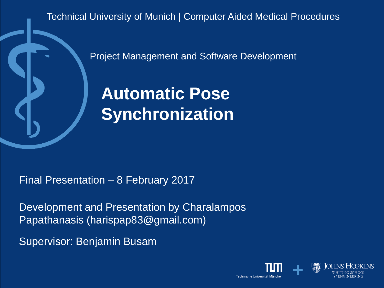Technical University of Munich | Computer Aided Medical Procedures

Project Management and Software Development

**Automatic Pose Synchronization**

Final Presentation – 8 February 2017

Development and Presentation by Charalampos Papathanasis (harispap83@gmail.com)

Supervisor: Benjamin Busam

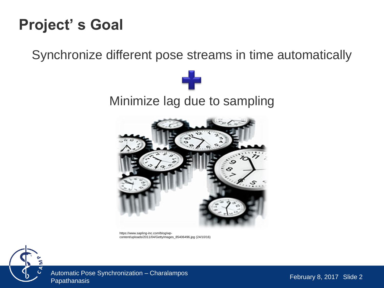#### **Project' s Goal**

Synchronize different pose streams in time automatically





https://www.sapling-inc.com/blog/wpcontent/uploads/2011/04/GettyImages\_85406496.jpg (24/10/16)



Automatic Pose Synchronization – Charalampos<br>Papathanasis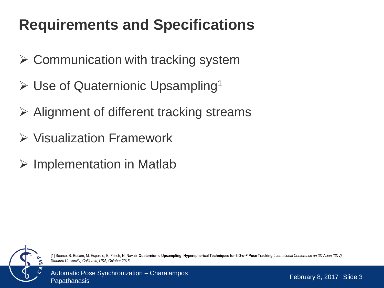# **Requirements and Specifications**

- $\triangleright$  Communication with tracking system
- $\triangleright$  Use of Quaternionic Upsampling<sup>1</sup>
- $\triangleright$  Alignment of different tracking streams
- $\triangleright$  Visualization Framework
- $\triangleright$  Implementation in Matlab



[1] Source: B. Busam, M. Esposito, B. Frisch, N. Navab **Quaternionic Upsampling: Hyperspherical Techniques for 6 D-o-F Pose Tracking** *International Conference on 3DVision (3DV), Stanford University, California, USA, October 2016*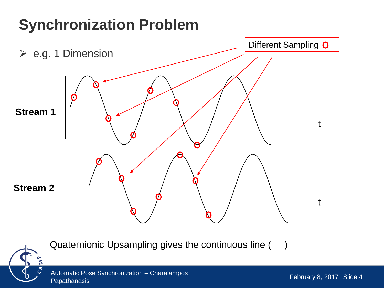#### **Synchronization Problem**



Quaternionic Upsampling gives the continuous line  $(-)$ 

Automatic Pose Synchronization – Charalampos<br>Papathanasis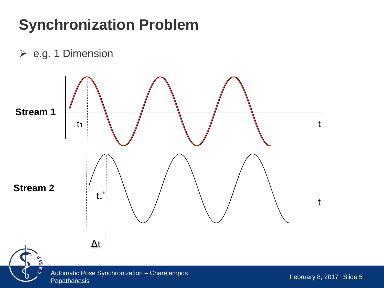## **Synchronization Problem**

 $\triangleright$  e.g. 1 Dimension

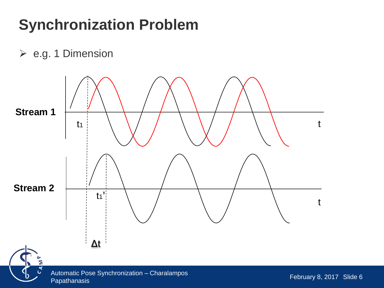## **Synchronization Problem**

 $\triangleright$  e.g. 1 Dimension

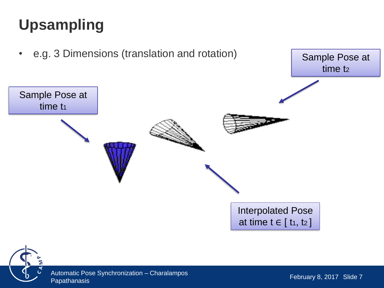# **Upsampling**



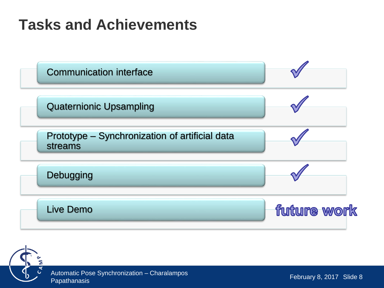### **Tasks and Achievements**



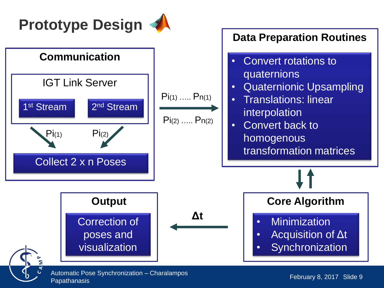

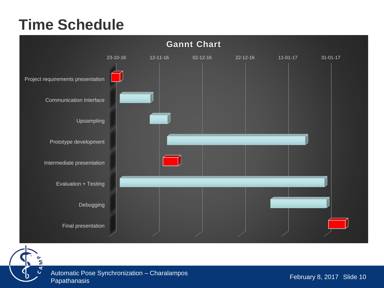### **Time Schedule**





Automatic Pose Synchronization – Charalampos<br>Papathanasis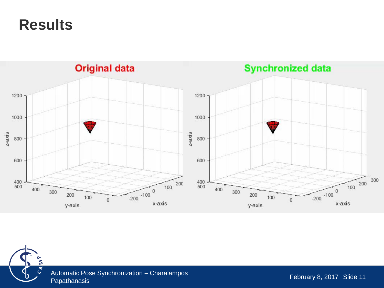**Results**